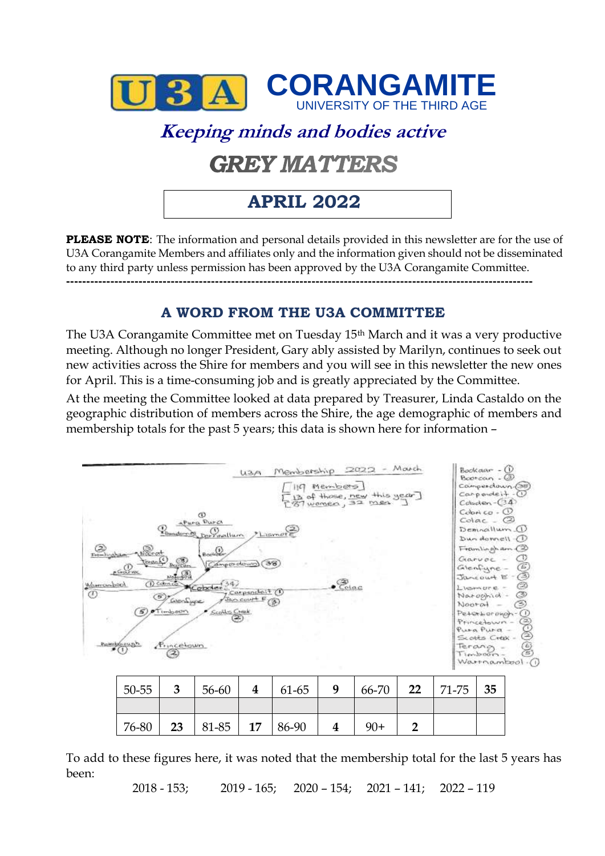

# **Keeping minds and bodies active GREY MATTERS**

## **APRIL 2022**

**PLEASE NOTE**: The information and personal details provided in this newsletter are for the use of U3A Corangamite Members and affiliates only and the information given should not be disseminated to any third party unless permission has been approved by the U3A Corangamite Committee. **--------------------------------------------------------------------------------------------------------------------**

### **A WORD FROM THE U3A COMMITTEE**

The U3A Corangamite Committee met on Tuesday 15th March and it was a very productive meeting. Although no longer President, Gary ably assisted by Marilyn, continues to seek out new activities across the Shire for members and you will see in this newsletter the new ones for April. This is a time-consuming job and is greatly appreciated by the Committee.

At the meeting the Committee looked at data prepared by Treasurer, Linda Castaldo on the geographic distribution of members across the Shire, the age demographic of members and membership totals for the past 5 years; this data is shown here for information –



To add to these figures here, it was noted that the membership total for the last 5 years has been:

2018 - 153; 2019 - 165; 2020 – 154; 2021 – 141; 2022 – 119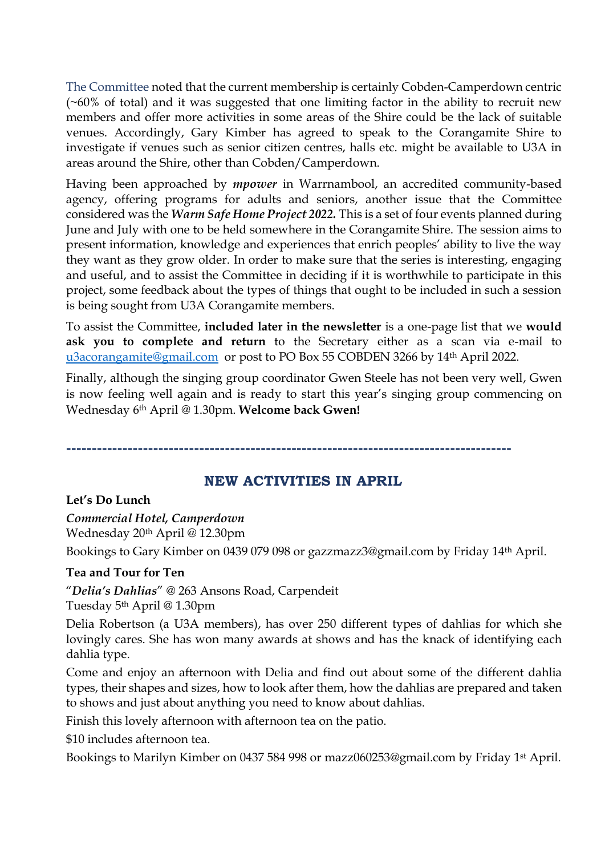The Committee noted that the current membership is certainly Cobden-Camperdown centric (~60% of total) and it was suggested that one limiting factor in the ability to recruit new members and offer more activities in some areas of the Shire could be the lack of suitable venues. Accordingly, Gary Kimber has agreed to speak to the Corangamite Shire to investigate if venues such as senior citizen centres, halls etc. might be available to U3A in areas around the Shire, other than Cobden/Camperdown.

Having been approached by *mpower* in Warrnambool, an accredited community-based agency, offering programs for adults and seniors, another issue that the Committee considered was the *Warm Safe Home Project 2022.* This is a set of four events planned during June and July with one to be held somewhere in the Corangamite Shire. The session aims to present information, knowledge and experiences that enrich peoples' ability to live the way they want as they grow older. In order to make sure that the series is interesting, engaging and useful, and to assist the Committee in deciding if it is worthwhile to participate in this project, some feedback about the types of things that ought to be included in such a session is being sought from U3A Corangamite members.

To assist the Committee, **included later in the newsletter** is a one-page list that we **would ask you to complete and return** to the Secretary either as a scan via e-mail to [u3acorangamite@gmail.com](mailto:u3acorangamite@gmail.com) or post to PO Box 55 COBDEN 3266 by 14<sup>th</sup> April 2022.

Finally, although the singing group coordinator Gwen Steele has not been very well, Gwen is now feeling well again and is ready to start this year's singing group commencing on Wednesday 6th April @ 1.30pm. **Welcome back Gwen!**

**---------------------------------------------------------------------------------------**

#### **NEW ACTIVITIES IN APRIL**

#### **Let's Do Lunch**

#### *Commercial Hotel, Camperdown*

Wednesday 20th April @ 12.30pm

Bookings to Gary Kimber on 0439 079 098 or gazzmazz3@gmail.com by Friday 14th April.

#### **Tea and Tour for Ten**

"*Delia's Dahlias*" @ 263 Ansons Road, Carpendeit

Tuesday 5th April @ 1.30pm

Delia Robertson (a U3A members), has over 250 different types of dahlias for which she lovingly cares. She has won many awards at shows and has the knack of identifying each dahlia type.

Come and enjoy an afternoon with Delia and find out about some of the different dahlia types, their shapes and sizes, how to look after them, how the dahlias are prepared and taken to shows and just about anything you need to know about dahlias.

Finish this lovely afternoon with afternoon tea on the patio.

\$10 includes afternoon tea.

Bookings to Marilyn Kimber on 0437 584 998 or mazz060253@gmail.com by Friday 1st April.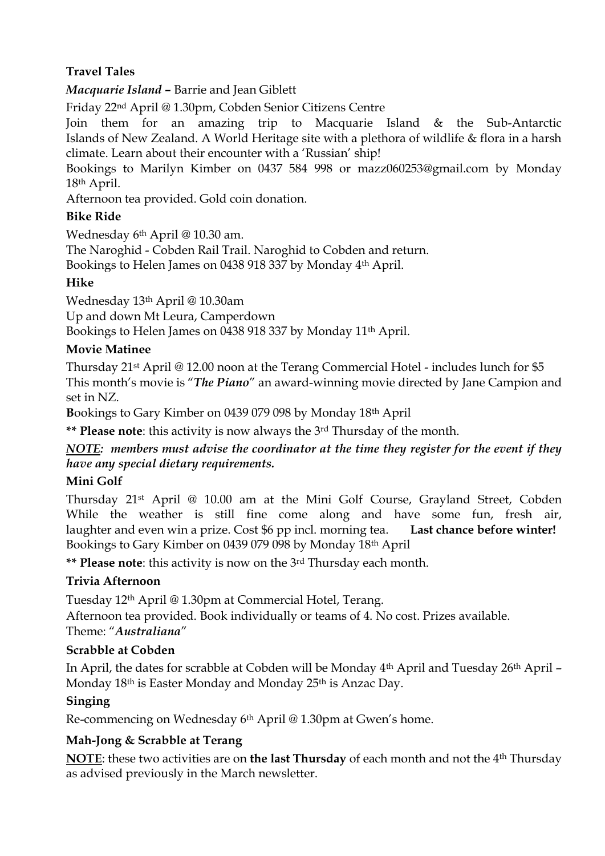### **Travel Tales**

*Macquarie Island* **–** Barrie and Jean Giblett

Friday 22nd April @ 1.30pm, Cobden Senior Citizens Centre

Join them for an amazing trip to Macquarie Island & the Sub-Antarctic Islands of New Zealand. A World Heritage site with a plethora of wildlife & flora in a harsh climate. Learn about their encounter with a 'Russian' ship!

Bookings to Marilyn Kimber on 0437 584 998 or mazz060253@gmail.com by Monday 18th April.

Afternoon tea provided. Gold coin donation.

#### **Bike Ride**

Wednesday 6th April @ 10.30 am.

The Naroghid - Cobden Rail Trail. Naroghid to Cobden and return.

Bookings to Helen James on 0438 918 337 by Monday 4th April.

#### **Hike**

Wednesday 13th April @ 10.30am

Up and down Mt Leura, Camperdown

Bookings to Helen James on 0438 918 337 by Monday 11th April.

#### **Movie Matinee**

Thursday 21st April @ 12.00 noon at the Terang Commercial Hotel - includes lunch for \$5 This month's movie is "*The Piano*" an award-winning movie directed by Jane Campion and set in NZ.

**B**ookings to Gary Kimber on 0439 079 098 by Monday 18th April

**\*\* Please note**: this activity is now always the 3rd Thursday of the month.

*NOTE: members must advise the coordinator at the time they register for the event if they have any special dietary requirements.* 

#### **Mini Golf**

Thursday 21st April @ 10.00 am at the Mini Golf Course, Grayland Street, Cobden While the weather is still fine come along and have some fun, fresh air, laughter and even win a prize. Cost \$6 pp incl. morning tea. **Last chance before winter!** Bookings to Gary Kimber on 0439 079 098 by Monday 18th April

**\*\* Please note**: this activity is now on the 3rd Thursday each month.

#### **Trivia Afternoon**

Tuesday 12th April @ 1.30pm at Commercial Hotel, Terang.

Afternoon tea provided. Book individually or teams of 4. No cost. Prizes available. Theme: "*Australiana*"

#### **Scrabble at Cobden**

In April, the dates for scrabble at Cobden will be Monday 4th April and Tuesday 26th April – Monday 18<sup>th</sup> is Easter Monday and Monday 25<sup>th</sup> is Anzac Day.

#### **Singing**

Re-commencing on Wednesday 6th April @ 1.30pm at Gwen's home.

#### **Mah-Jong & Scrabble at Terang**

**NOTE**: these two activities are on **the last Thursday** of each month and not the 4th Thursday as advised previously in the March newsletter.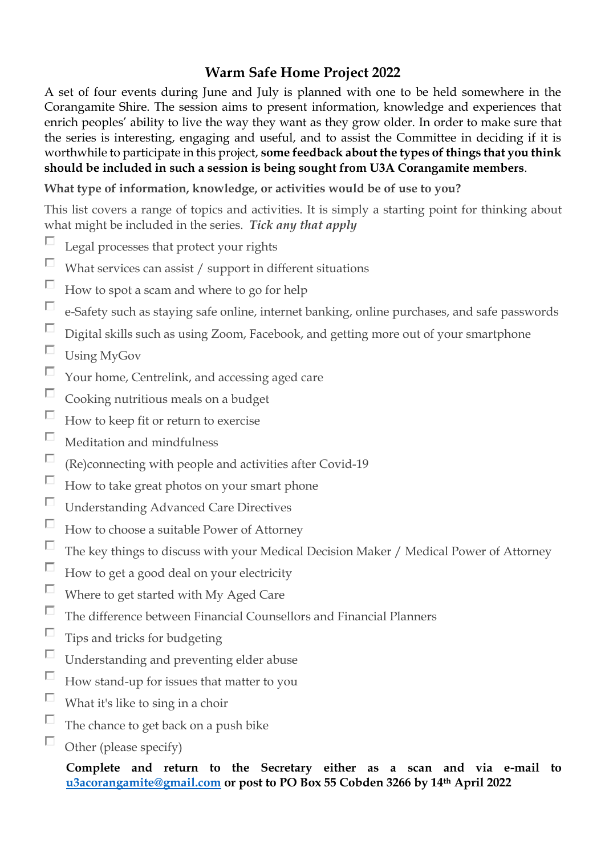### **Warm Safe Home Project 2022**

A set of four events during June and July is planned with one to be held somewhere in the Corangamite Shire. The session aims to present information, knowledge and experiences that enrich peoples' ability to live the way they want as they grow older. In order to make sure that the series is interesting, engaging and useful, and to assist the Committee in deciding if it is worthwhile to participate in this project, **some feedback about the types of things that you think should be included in such a session is being sought from U3A Corangamite members**.

#### **What type of information, knowledge, or activities would be of use to you?**

This list covers a range of topics and activities. It is simply a starting point for thinking about what might be included in the series. *Tick any that apply*

- П Legal processes that protect your rights
- П What services can assist / support in different situations
- $\Box$ How to spot a scam and where to go for help
- $\Box$ e-Safety such as staying safe online, internet banking, online purchases, and safe passwords
- $\Box$ Digital skills such as using Zoom, Facebook, and getting more out of your smartphone
- $\Box$ Using MyGov
- П Your home, Centrelink, and accessing aged care
- $\Box$ Cooking nutritious meals on a budget
- $\Box$ How to keep fit or return to exercise
- $\Box$ Meditation and mindfulness
- $\Box$ (Re)connecting with people and activities after Covid-19
- $\Box$ How to take great photos on your smart phone
- $\Box$ Understanding Advanced Care Directives
- $\Box$ How to choose a suitable Power of Attorney
- $\Box$ The key things to discuss with your Medical Decision Maker / Medical Power of Attorney
- $\Box$ How to get a good deal on your electricity
- $\Box$ Where to get started with My Aged Care
- $\Box$ The difference between Financial Counsellors and Financial Planners
- $\Box$ Tips and tricks for budgeting
- $\Box$ Understanding and preventing elder abuse
- $\Box$ How stand-up for issues that matter to you
- $\Box$ What it's like to sing in a choir
- $\Box$ The chance to get back on a push bike
- П Other (please specify)

**Complete and return to the Secretary either as a scan and via e-mail to [u3acorangamite@gmail.com](mailto:u3acorangamite@gmail.com) or post to PO Box 55 Cobden 3266 by 14th April 2022**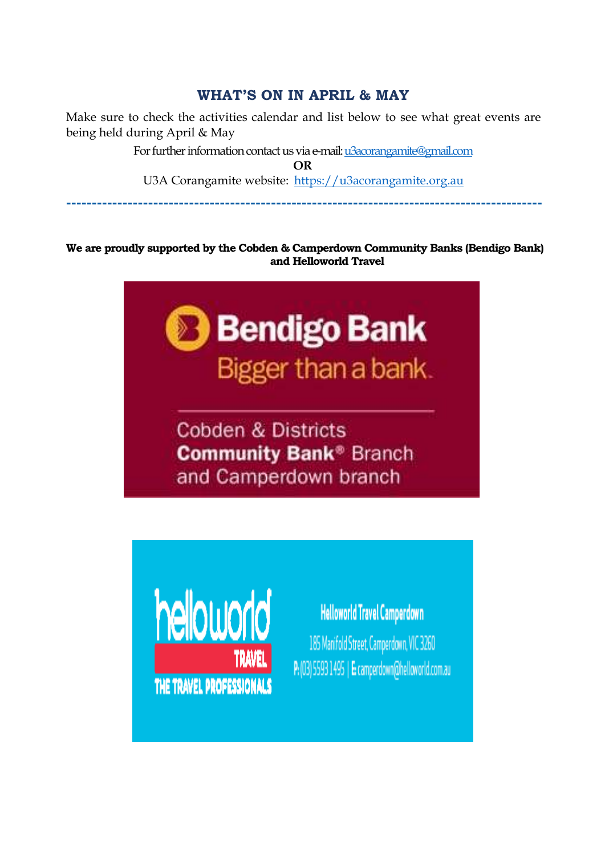### **WHAT'S ON IN APRIL & MAY**

Make sure to check the activities calendar and list below to see what great events are being held during April & May

> For further information contact us via e-mail[: u3acorangamite@gmail.com](mailto:u3acorangamite@gmail.com) **OR**

U3A Corangamite website: [https://u3acorangamite.org.au](https://u3acorangamite.org.au/)

**---------------------------------------------------------------------------------------------** 

**We are proudly supported by the Cobden & Camperdown Community Banks (Bendigo Bank) and Helloworld Travel**



**Cobden & Districts Community Bank® Branch** and Camperdown branch



## **Helloworld Travel Camperdown**

185 Manifold Street, Camperdown, VIC 3260 P: (03) 5593 1495 | E: camperdown@helloworld.com.au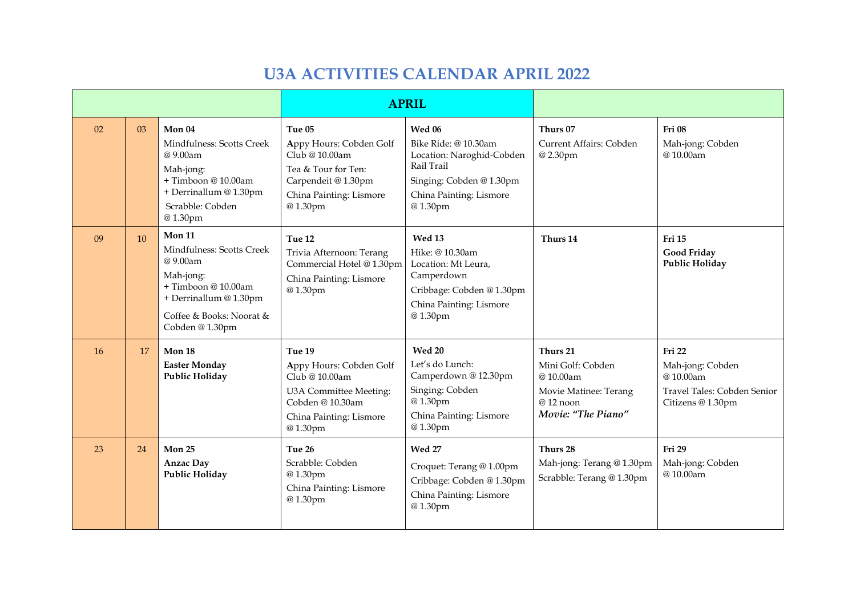### **U3A ACTIVITIES CALENDAR APRIL 2022**

|           |    |                                                                                                                                                             | <b>APRIL</b>                                                                                                                            |                                                                                                                                             |                                                                                                      |                                                                                            |
|-----------|----|-------------------------------------------------------------------------------------------------------------------------------------------------------------|-----------------------------------------------------------------------------------------------------------------------------------------|---------------------------------------------------------------------------------------------------------------------------------------------|------------------------------------------------------------------------------------------------------|--------------------------------------------------------------------------------------------|
| 02        | 03 | Mon 04<br>Mindfulness: Scotts Creek<br>@9.00am<br>Mah-jong:<br>+ Timboon @ 10.00am<br>+ Derrinallum @ 1.30pm<br>Scrabble: Cobden<br>@1.30pm                 | Tue 05<br>Appy Hours: Cobden Golf<br>Club @ 10.00am<br>Tea & Tour for Ten:<br>Carpendeit @ 1.30pm<br>China Painting: Lismore<br>@1.30pm | Wed 06<br>Bike Ride: @ 10.30am<br>Location: Naroghid-Cobden<br>Rail Trail<br>Singing: Cobden @ 1.30pm<br>China Painting: Lismore<br>@1.30pm | Thurs 07<br>Current Affairs: Cobden<br>@2.30pm                                                       | Fri 08<br>Mah-jong: Cobden<br>@10.00am                                                     |
| 09        | 10 | Mon 11<br>Mindfulness: Scotts Creek<br>@ 9.00am<br>Mah-jong:<br>+ Timboon @ 10.00am<br>+ Derrinallum @ 1.30pm<br>Coffee & Books: Noorat &<br>Cobden @1.30pm | Tue 12<br>Trivia Afternoon: Terang<br>Commercial Hotel @ 1.30pm<br>China Painting: Lismore<br>@1.30pm                                   | <b>Wed 13</b><br>Hike: @ 10.30am<br>Location: Mt Leura,<br>Camperdown<br>Cribbage: Cobden @ 1.30pm<br>China Painting: Lismore<br>@1.30pm    | Thurs 14                                                                                             | <b>Fri 15</b><br><b>Good Friday</b><br><b>Public Holiday</b>                               |
| <b>16</b> | 17 | Mon 18<br><b>Easter Monday</b><br><b>Public Holiday</b>                                                                                                     | Tue 19<br>Appy Hours: Cobden Golf<br>Club @ 10.00am<br>U3A Committee Meeting:<br>Cobden @ 10.30am<br>China Painting: Lismore<br>@1.30pm | <b>Wed 20</b><br>Let's do Lunch:<br>Camperdown @ 12.30pm<br>Singing: Cobden<br>@1.30pm<br>China Painting: Lismore<br>@1.30pm                | Thurs 21<br>Mini Golf: Cobden<br>@10.00am<br>Movie Matinee: Terang<br>@12 noon<br>Movie: "The Piano" | Fri 22<br>Mah-jong: Cobden<br>@10.00am<br>Travel Tales: Cobden Senior<br>Citizens @ 1.30pm |
| 23        | 24 | Mon 25<br><b>Anzac Day</b><br><b>Public Holiday</b>                                                                                                         | Tue 26<br>Scrabble: Cobden<br>@1.30pm<br>China Painting: Lismore<br>@1.30pm                                                             | <b>Wed 27</b><br>Croquet: Terang @ 1.00pm<br>Cribbage: Cobden @ 1.30pm<br>China Painting: Lismore<br>@1.30pm                                | Thurs 28<br>Mah-jong: Terang @ 1.30pm<br>Scrabble: Terang @ 1.30pm                                   | Fri 29<br>Mah-jong: Cobden<br>@10.00am                                                     |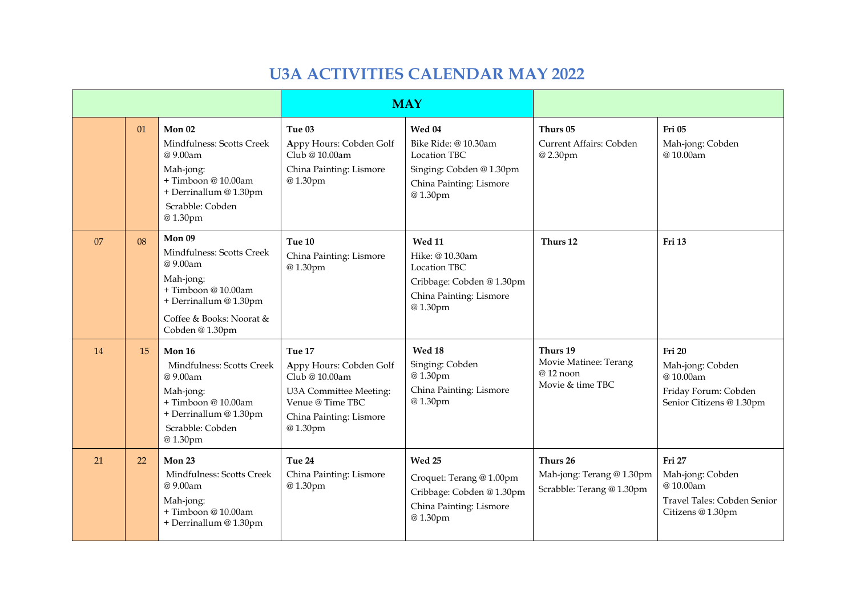### **U3A ACTIVITIES CALENDAR MAY 2022**

|    |    |                                                                                                                                                            | <b>MAY</b>                                                                                                                              |                                                                                                                       |                                                                    |                                                                                                   |
|----|----|------------------------------------------------------------------------------------------------------------------------------------------------------------|-----------------------------------------------------------------------------------------------------------------------------------------|-----------------------------------------------------------------------------------------------------------------------|--------------------------------------------------------------------|---------------------------------------------------------------------------------------------------|
|    | 01 | Mon <sub>02</sub><br>Mindfulness: Scotts Creek<br>@9.00am<br>Mah-jong:<br>+ Timboon @ 10.00am<br>+ Derrinallum @ 1.30pm<br>Scrabble: Cobden<br>@1.30pm     | Tue 03<br>Appy Hours: Cobden Golf<br>Club @ 10.00am<br>China Painting: Lismore<br>@1.30pm                                               | Wed 04<br>Bike Ride: @10.30am<br><b>Location TBC</b><br>Singing: Cobden @1.30pm<br>China Painting: Lismore<br>@1.30pm | Thurs 05<br>Current Affairs: Cobden<br>@2.30pm                     | Fri <sub>05</sub><br>Mah-jong: Cobden<br>@10.00am                                                 |
| 07 | 08 | Mon 09<br>Mindfulness: Scotts Creek<br>@9.00am<br>Mah-jong:<br>+ Timboon @ 10.00am<br>+ Derrinallum @ 1.30pm<br>Coffee & Books: Noorat &<br>Cobden @1.30pm | Tue 10<br>China Painting: Lismore<br>@1.30pm                                                                                            | <b>Wed 11</b><br>Hike: @ 10.30am<br>Location TBC<br>Cribbage: Cobden @ 1.30pm<br>China Painting: Lismore<br>@1.30pm   | Thurs 12                                                           | <b>Fri 13</b>                                                                                     |
| 14 | 15 | Mon 16<br>Mindfulness: Scotts Creek<br>@9.00am<br>Mah-jong:<br>+Timboon@10.00am<br>+ Derrinallum @ 1.30pm<br>Scrabble: Cobden<br>@1.30pm                   | Tue 17<br>Appy Hours: Cobden Golf<br>Club @ 10.00am<br>U3A Committee Meeting:<br>Venue @ Time TBC<br>China Painting: Lismore<br>@1.30pm | Wed 18<br>Singing: Cobden<br>@1.30pm<br>China Painting: Lismore<br>@1.30pm                                            | Thurs 19<br>Movie Matinee: Terang<br>@12 noon<br>Movie & time TBC  | <b>Fri 20</b><br>Mah-jong: Cobden<br>@10.00am<br>Friday Forum: Cobden<br>Senior Citizens @ 1.30pm |
| 21 | 22 | Mon 23<br>Mindfulness: Scotts Creek<br>@9.00am<br>Mah-jong:<br>+ Timboon @ 10.00am<br>+ Derrinallum @ 1.30pm                                               | Tue 24<br>China Painting: Lismore<br>@1.30pm                                                                                            | Wed 25<br>Croquet: Terang @ 1.00pm<br>Cribbage: Cobden @ 1.30pm<br>China Painting: Lismore<br>@1.30pm                 | Thurs 26<br>Mah-jong: Terang @ 1.30pm<br>Scrabble: Terang @ 1.30pm | Fri 27<br>Mah-jong: Cobden<br>@10.00am<br>Travel Tales: Cobden Senior<br>Citizens @ 1.30pm        |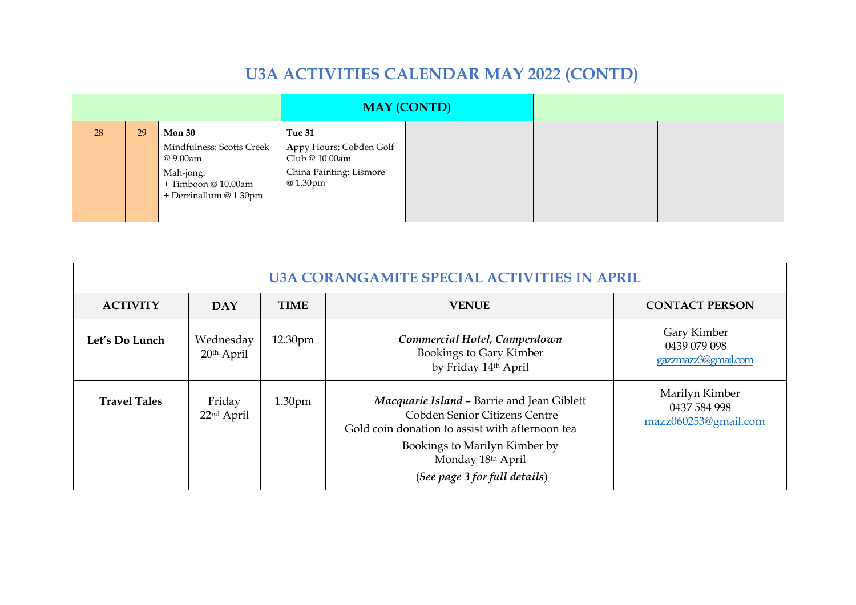## **U3A ACTIVITIES CALENDAR MAY 2022 (CONTD)**

|    |    |                                                                                                                      | <b>MAY (CONTD)</b>                                                                        |  |  |
|----|----|----------------------------------------------------------------------------------------------------------------------|-------------------------------------------------------------------------------------------|--|--|
| 28 | 29 | <b>Mon 30</b><br>Mindfulness: Scotts Creek<br>@ 9.00am<br>Mah-jong:<br>+ Timboon @ 10.00am<br>+ Derrinallum @ 1.30pm | Tue 31<br>Appy Hours: Cobden Golf<br>Club @ 10.00am<br>China Painting: Lismore<br>@1.30pm |  |  |

| <b>U3A CORANGAMITE SPECIAL ACTIVITIES IN APRIL</b> |                                  |                    |                                                                                                                                                                                                                       |                                                        |  |  |
|----------------------------------------------------|----------------------------------|--------------------|-----------------------------------------------------------------------------------------------------------------------------------------------------------------------------------------------------------------------|--------------------------------------------------------|--|--|
| <b>ACTIVITY</b>                                    | <b>DAY</b>                       | <b>TIME</b>        | <b>VENUE</b>                                                                                                                                                                                                          | <b>CONTACT PERSON</b>                                  |  |  |
| Let's Do Lunch                                     | Wednesday<br>20th April          | 12.30pm            | Commercial Hotel, Camperdown<br><b>Bookings to Gary Kimber</b><br>by Friday 14th April                                                                                                                                | Gary Kimber<br>0439 079 098<br>gazzmazz3@gmail.com     |  |  |
| <b>Travel Tales</b>                                | Friday<br>22 <sup>nd</sup> April | 1.30 <sub>pm</sub> | Macquarie Island - Barrie and Jean Giblett<br>Cobden Senior Citizens Centre<br>Gold coin donation to assist with afternoon tea<br>Bookings to Marilyn Kimber by<br>Monday 18th April<br>(See page 3 for full details) | Marilyn Kimber<br>0437 584 998<br>mazz060253@gmail.com |  |  |